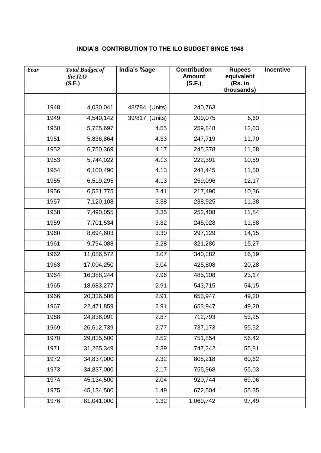## **INDIA'S CONTRIBUTION TO THE ILO BUDGET SINCE 1948**

| Year | <b>Total Budget of</b><br>the ILO<br>(S.F.) | India's %age   | <b>Contribution</b><br><b>Amount</b><br>(S.F.) | <b>Rupees</b><br>equivalent<br>(Rs. in<br>thousands) | Incentive |
|------|---------------------------------------------|----------------|------------------------------------------------|------------------------------------------------------|-----------|
|      |                                             |                |                                                |                                                      |           |
| 1948 | 4,030,041                                   | 48/784 (Units) | 240,763                                        |                                                      |           |
| 1949 | 4,540,142                                   | 39/817 (Units) | 209,075                                        | 6,60                                                 |           |
| 1950 | 5,725,697                                   | 4.55           | 259,848                                        | 12,03                                                |           |
| 1951 | 5,836,864                                   | 4.33           | 247,719                                        | 11,70                                                |           |
| 1952 | 6,750,369                                   | 4.17           | 245,378                                        | 11,68                                                |           |
| 1953 | 5,744,022                                   | 4.13           | 222,391                                        | 10,59                                                |           |
| 1954 | 6,100,490                                   | 4.13           | 241,445                                        | 11,50                                                |           |
| 1955 | 6,519,295                                   | 4.13           | 259,096                                        | 12,17                                                |           |
| 1956 | 6,521,775                                   | 3.41           | 217,490                                        | 10,36                                                |           |
| 1957 | 7,120,108                                   | 3.38           | 238,925                                        | 11,38                                                |           |
| 1958 | 7,490,055                                   | 3.35           | 252,408                                        | 11,84                                                |           |
| 1959 | 7,701,534                                   | 3.32           | 245,928                                        | 11,68                                                |           |
| 1960 | 8,694,603                                   | 3.30           | 297,129                                        | 14,15                                                |           |
| 1961 | 9,794,088                                   | 3.28           | 321,280                                        | 15,27                                                |           |
| 1962 | 11,086,572                                  | 3.07           | 340,282                                        | 16,19                                                |           |
| 1963 | 17,004,250                                  | 3,04           | 425,808                                        | 20,28                                                |           |
| 1964 | 16,388,244                                  | 2.96           | 485,108                                        | 23,17                                                |           |
| 1965 | 18,683,277                                  | 2.91           | 543,715                                        | 54,15                                                |           |
| 1966 | 20,336,586                                  | 2.91           | 653,947                                        | 49,20                                                |           |
| 1967 | 22,471,859                                  | 2.91           | 653,947                                        | 49,20                                                |           |
| 1968 | 24,836,091                                  | 2.87           | 712,793                                        | 53,25                                                |           |
| 1969 | 26,612,739                                  | 2.77           | 737,173                                        | 55,52                                                |           |
| 1970 | 29,835,500                                  | 2.52           | 751,854                                        | 56.42                                                |           |
| 1971 | 31,265,349                                  | 2.39           | 747,242                                        | 55,81                                                |           |
| 1972 | 34,837,000                                  | 2.32           | 808,218                                        | 60,62                                                |           |
| 1973 | 34,837,000                                  | 2.17           | 755,968                                        | 55,03                                                |           |
| 1974 | 45,134,500                                  | 2.04           | 920,744                                        | 69.06                                                |           |
| 1975 | 45,134,500                                  | 1.49           | 672,504                                        | 55.35                                                |           |
| 1976 | 81,041.000                                  | 1.32           | 1,069,742                                      | 97,49                                                |           |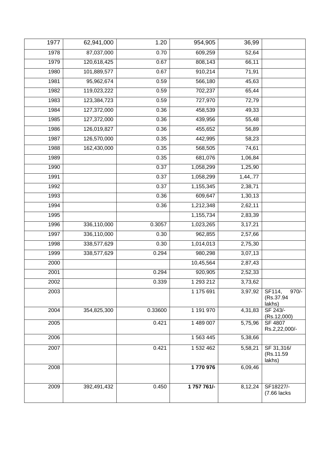| 1977 | 62,941,000  | 1.20    | 954,905     | 36,99                |                                          |
|------|-------------|---------|-------------|----------------------|------------------------------------------|
| 1978 | 87,037,000  | 0.70    | 609,259     | 52,64                |                                          |
| 1979 | 120,618,425 | 0.67    | 808,143     | 66,11                |                                          |
| 1980 | 101,889,577 | 0.67    | 910,214     | 71,91                |                                          |
| 1981 | 95,962,674  | 0.59    | 566,180     | 45,63                |                                          |
| 1982 | 119,023,222 | 0.59    | 702,237     | 65,44                |                                          |
| 1983 | 123,384,723 | 0.59    | 727,970     | 72,79                |                                          |
| 1984 | 127,372,000 | 0.36    | 458,539     | 49,33                |                                          |
| 1985 | 127,372,000 | 0.36    | 439,956     | 55,48                |                                          |
| 1986 | 126,019,827 | 0.36    | 455,652     | 56,89                |                                          |
| 1987 | 126,570,000 | 0.35    | 442,995     | 58,23                |                                          |
| 1988 | 162,430,000 | 0.35    | 568,505     | 74,61                |                                          |
| 1989 |             | 0.35    | 681,076     | 1,06,84              |                                          |
| 1990 |             | 0.37    | 1,058,299   | 1,25,90              |                                          |
| 1991 |             | 0.37    | 1,058,299   | 1,44,.77             |                                          |
| 1992 |             | 0.37    | 1,155,345   | 2,38,71              |                                          |
| 1993 |             | 0.36    | 609,647     | 1,30,13              |                                          |
| 1994 |             | 0.36    | 1,212,348   | 2,62,11              |                                          |
| 1995 |             |         | 1,155,734   | 2,83,39              |                                          |
| 1996 | 336,110,000 | 0.3057  | 1,023,265   | 3,17,21              |                                          |
| 1997 | 336,110,000 | 0.30    | 962,855     | 2,57,66              |                                          |
| 1998 | 338,577,629 | 0.30    | 1,014,013   | 2,75,30              |                                          |
| 1999 | 338,577,629 | 0.294   | 980,298     | 3,07,13              |                                          |
| 2000 |             |         | 10,45,564   | 2,87,43              |                                          |
| 2001 |             | 0.294   | 920,905     | 2,52,33              |                                          |
| 2002 |             | 0.339   | 1 293 212   | 3,73,62              |                                          |
| 2003 |             |         | 1 175 691   | 3,97,92              | $970/-$<br>SF114,<br>(Rs.37.94<br>lakhs) |
| 2004 | 354,825,300 | 0.33600 | 1 191 970   | 4,31,83              | SF 243/-<br>(Rs.12,000)                  |
| 2005 |             | 0.421   | 1 489 007   | 5,75,96              | SF 4807<br>Rs.2,22,000/-                 |
| 2006 |             |         | 1 563 445   | 5,38,66              |                                          |
| 2007 |             | 0.421   | 1 532 462   | $\overline{5,}58,21$ | SF 31,316/<br>(Rs.11.59)<br>lakhs)       |
| 2008 |             |         | 1770976     | 6,09,46              |                                          |
| 2009 | 392,491,432 | 0.450   | 1 757 761/- | 8,12,24              | SF18227/-<br>(7.66 lacks                 |